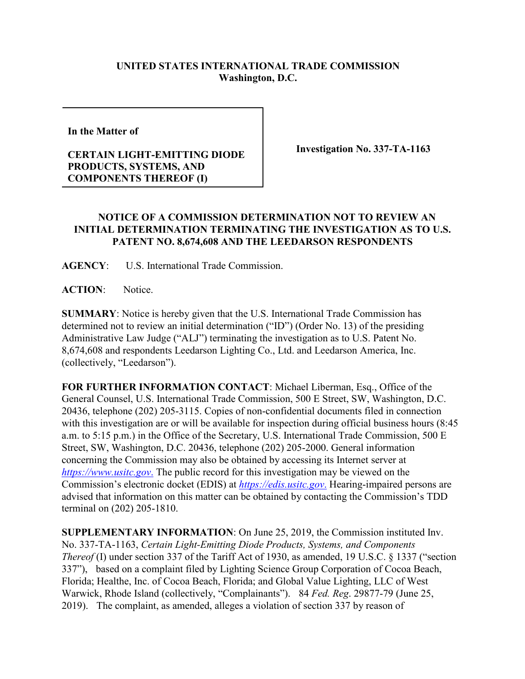## **UNITED STATES INTERNATIONAL TRADE COMMISSION Washington, D.C.**

**In the Matter of** 

## **CERTAIN LIGHT-EMITTING DIODE PRODUCTS, SYSTEMS, AND COMPONENTS THEREOF (I)**

**Investigation No. 337-TA-1163**

## **NOTICE OF A COMMISSION DETERMINATION NOT TO REVIEW AN INITIAL DETERMINATION TERMINATING THE INVESTIGATION AS TO U.S. PATENT NO. 8,674,608 AND THE LEEDARSON RESPONDENTS**

**AGENCY**: U.S. International Trade Commission.

**ACTION**: Notice.

**SUMMARY**: Notice is hereby given that the U.S. International Trade Commission has determined not to review an initial determination ("ID") (Order No. 13) of the presiding Administrative Law Judge ("ALJ") terminating the investigation as to U.S. Patent No. 8,674,608 and respondents Leedarson Lighting Co., Ltd. and Leedarson America, Inc. (collectively, "Leedarson").

**FOR FURTHER INFORMATION CONTACT**: Michael Liberman, Esq., Office of the General Counsel, U.S. International Trade Commission, 500 E Street, SW, Washington, D.C. 20436, telephone (202) 205-3115. Copies of non-confidential documents filed in connection with this investigation are or will be available for inspection during official business hours (8:45 a.m. to 5:15 p.m.) in the Office of the Secretary, U.S. International Trade Commission, 500 E Street, SW, Washington, D.C. 20436, telephone (202) 205-2000. General information concerning the Commission may also be obtained by accessing its Internet server at *[https://www.usitc.gov](https://www.usitc.gov./)*. The public record for this investigation may be viewed on the Commission's electronic docket (EDIS) at *[https://edis.usitc.gov](https://edis.usitc.gov./)*. Hearing-impaired persons are advised that information on this matter can be obtained by contacting the Commission's TDD terminal on (202) 205-1810.

**SUPPLEMENTARY INFORMATION**: On June 25, 2019, the Commission instituted Inv. No. 337-TA-1163, *Certain Light-Emitting Diode Products, Systems, and Components Thereof* (I) under section 337 of the Tariff Act of 1930, as amended, 19 U.S.C. § 1337 ("section 337"), based on a complaint filed by Lighting Science Group Corporation of Cocoa Beach, Florida; Healthe, Inc. of Cocoa Beach, Florida; and Global Value Lighting, LLC of West Warwick, Rhode Island (collectively, "Complainants"). 84 *Fed. Reg*. 29877-79 (June 25, 2019). The complaint, as amended, alleges a violation of section 337 by reason of